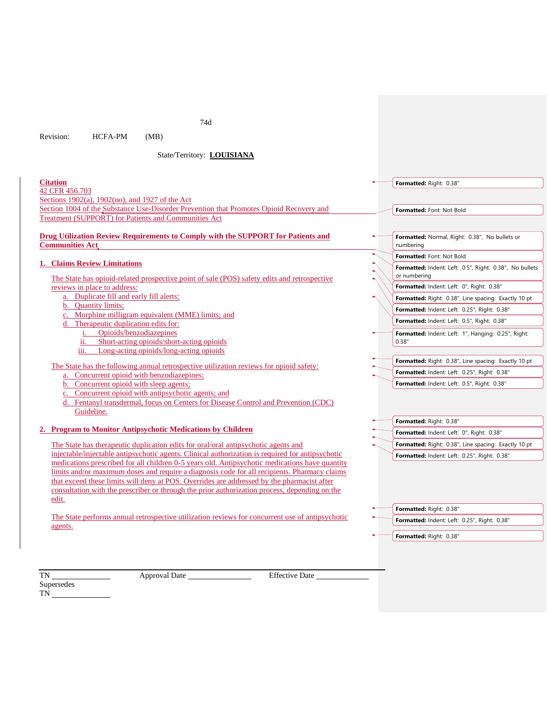74d

Revision: HCFA-PM (MB)

State/Territory: **LOUISIANA**

| <b>Citation</b>                                                                                                                                                                            | Formatted: Right: 0.38"                                                 |
|--------------------------------------------------------------------------------------------------------------------------------------------------------------------------------------------|-------------------------------------------------------------------------|
| 42 CFR 456.703                                                                                                                                                                             |                                                                         |
| Sections 1902(a), 1902(oo), and 1927 of the Act                                                                                                                                            |                                                                         |
| Section 1004 of the Substance Use-Disorder Prevention that Promotes Opioid Recovery and                                                                                                    | Formatted: Font: Not Bold                                               |
| <b>Treatment (SUPPORT) for Patients and Communities Act</b>                                                                                                                                |                                                                         |
|                                                                                                                                                                                            |                                                                         |
| <b>Drug Utilization Review Requirements to Comply with the SUPPORT for Patients and</b><br><b>Communities Act</b>                                                                          | Formatted: Normal, Right: 0.38", No bullets or<br>numbering             |
|                                                                                                                                                                                            | Formatted: Font: Not Bold                                               |
| <b>Claims Review Limitations</b><br>The State has opioid-related prospective point of sale (POS) safety edits and retrospective                                                            | Formatted: Indent: Left: 0.5", Right: 0.38", No bullets<br>or numbering |
| reviews in place to address:                                                                                                                                                               | Formatted: Indent: Left: 0", Right: 0.38"                               |
| a. Duplicate fill and early fill alerts;                                                                                                                                                   | Formatted: Right: 0.38", Line spacing: Exactly 10 pt                    |
| b. Quantity limits;                                                                                                                                                                        | Formatted: Indent: Left: 0.25", Right: 0.38"                            |
| c. Morphine milligram equivalent (MME) limits; and<br>Therapeutic duplication edits for:                                                                                                   | Formatted: Indent: Left: 0.5", Right: 0.38"                             |
| Opioids/benzodiazepines                                                                                                                                                                    | Formatted: Indent: Left: 1", Hanging: 0.25", Right:                     |
| Short-acting opioids/short-acting opioids<br>ij.                                                                                                                                           | 0.38"                                                                   |
| Long-acting opioids/long-acting opioids<br>iii.                                                                                                                                            |                                                                         |
| The State has the following annual retrospective utilization reviews for opioid safety:                                                                                                    | Formatted: Right: 0.38", Line spacing: Exactly 10 pt                    |
| a. Concurrent opioid with benzodiazepines;                                                                                                                                                 | Formatted: Indent: Left: 0.25", Right: 0.38"                            |
| b. Concurrent opioid with sleep agents;                                                                                                                                                    | Formatted: Indent: Left: 0.5", Right: 0.38"                             |
| c. Concurrent opioid with antipsychotic agents; and                                                                                                                                        |                                                                         |
| d. Fentanyl transdermal, focus on Centers for Disease Control and Prevention (CDC)                                                                                                         |                                                                         |
| Guideline.                                                                                                                                                                                 |                                                                         |
| <b>Program to Monitor Antipsychotic Medications by Children</b>                                                                                                                            | Formatted: Right: 0.38"                                                 |
|                                                                                                                                                                                            | Formatted: Indent: Left: 0", Right: 0.38"                               |
| The State has the rapeutic duplication edits for oral/oral antipsychotic agents and                                                                                                        | Formatted: Right: 0.38", Line spacing: Exactly 10 pt                    |
| injectable/injectable antipsychotic agents. Clinical authorization is required for antipsychotic                                                                                           | Formatted: Indent: Left: 0.25", Right: 0.38"                            |
| medications prescribed for all children 0-5 years old. Antipsychotic medications have quantity                                                                                             |                                                                         |
| limits and/or maximum doses and require a diagnosis code for all recipients. Pharmacy claims<br>that exceed these limits will deny at POS. Overrides are addressed by the pharmacist after |                                                                         |
| consultation with the prescriber or through the prior authorization process, depending on the                                                                                              |                                                                         |
| edit.                                                                                                                                                                                      |                                                                         |
|                                                                                                                                                                                            | Formatted: Right: 0.38"                                                 |

The State performs annual retrospective utilization reviews for concurrent use of antipsychotic agents.

**Formatted:** Right: 0.38"

**Formatted:** Indent: Left: 0.25", Right: 0.38"

Supersedes

TN Approval Date Effective Date

TN